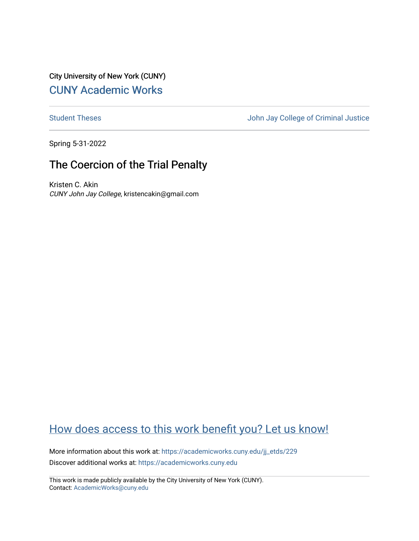City University of New York (CUNY) [CUNY Academic Works](https://academicworks.cuny.edu/) 

[Student Theses](https://academicworks.cuny.edu/jj_etds) **Student Theses** John Jay College of Criminal Justice

Spring 5-31-2022

# The Coercion of the Trial Penalty

Kristen C. Akin CUNY John Jay College, kristencakin@gmail.com

# [How does access to this work benefit you? Let us know!](http://ols.cuny.edu/academicworks/?ref=https://academicworks.cuny.edu/jj_etds/229)

More information about this work at: [https://academicworks.cuny.edu/jj\\_etds/229](https://academicworks.cuny.edu/jj_etds/229)  Discover additional works at: [https://academicworks.cuny.edu](https://academicworks.cuny.edu/?)

This work is made publicly available by the City University of New York (CUNY). Contact: [AcademicWorks@cuny.edu](mailto:AcademicWorks@cuny.edu)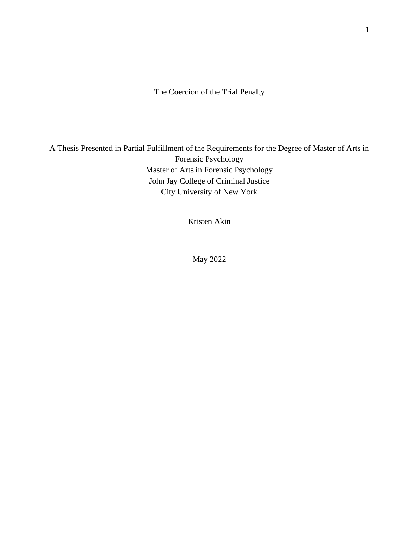The Coercion of the Trial Penalty

A Thesis Presented in Partial Fulfillment of the Requirements for the Degree of Master of Arts in Forensic Psychology Master of Arts in Forensic Psychology John Jay College of Criminal Justice City University of New York

Kristen Akin

May 2022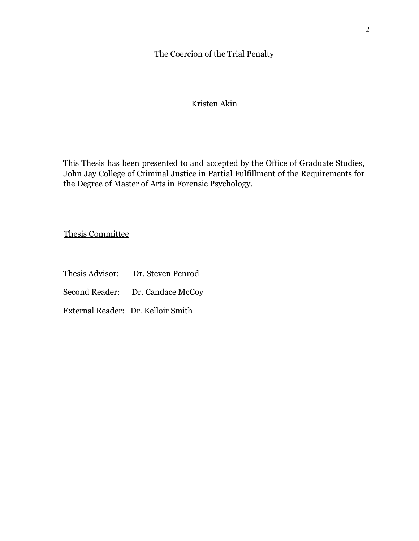The Coercion of the Trial Penalty

# Kristen Akin

This Thesis has been presented to and accepted by the Office of Graduate Studies, John Jay College of Criminal Justice in Partial Fulfillment of the Requirements for the Degree of Master of Arts in Forensic Psychology.

Thesis Committee

- Thesis Advisor: Dr. Steven Penrod
- Second Reader: Dr. Candace McCoy
- External Reader: Dr. Kelloir Smith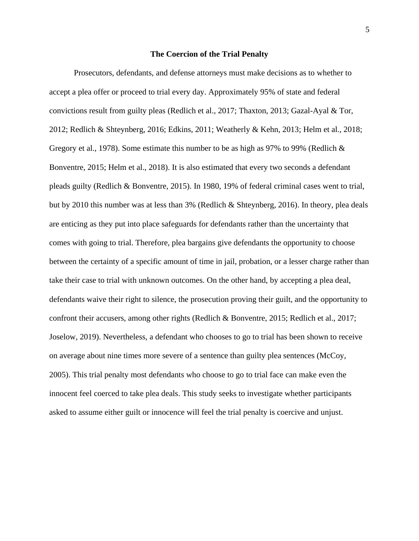#### **The Coercion of the Trial Penalty**

Prosecutors, defendants, and defense attorneys must make decisions as to whether to accept a plea offer or proceed to trial every day. Approximately 95% of state and federal convictions result from guilty pleas (Redlich et al., 2017; Thaxton, 2013; Gazal-Ayal & Tor, 2012; Redlich & Shteynberg, 2016; Edkins, 2011; Weatherly & Kehn, 2013; Helm et al., 2018; Gregory et al., 1978). Some estimate this number to be as high as 97% to 99% (Redlich & Bonventre, 2015; Helm et al., 2018). It is also estimated that every two seconds a defendant pleads guilty (Redlich & Bonventre, 2015). In 1980, 19% of federal criminal cases went to trial, but by 2010 this number was at less than 3% (Redlich & Shteynberg, 2016). In theory, plea deals are enticing as they put into place safeguards for defendants rather than the uncertainty that comes with going to trial. Therefore, plea bargains give defendants the opportunity to choose between the certainty of a specific amount of time in jail, probation, or a lesser charge rather than take their case to trial with unknown outcomes. On the other hand, by accepting a plea deal, defendants waive their right to silence, the prosecution proving their guilt, and the opportunity to confront their accusers, among other rights (Redlich & Bonventre, 2015; Redlich et al., 2017; Joselow, 2019). Nevertheless, a defendant who chooses to go to trial has been shown to receive on average about nine times more severe of a sentence than guilty plea sentences (McCoy, 2005). This trial penalty most defendants who choose to go to trial face can make even the innocent feel coerced to take plea deals. This study seeks to investigate whether participants asked to assume either guilt or innocence will feel the trial penalty is coercive and unjust.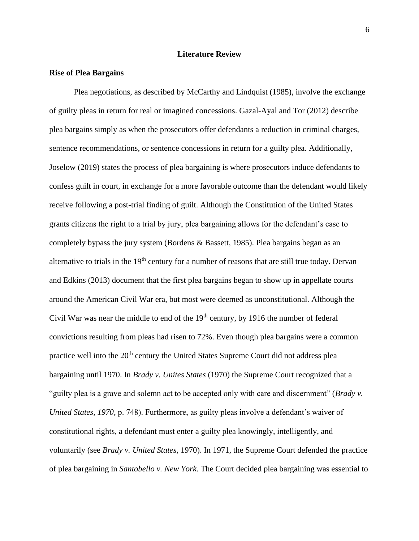## **Literature Review**

## **Rise of Plea Bargains**

Plea negotiations, as described by McCarthy and Lindquist (1985), involve the exchange of guilty pleas in return for real or imagined concessions. Gazal-Ayal and Tor (2012) describe plea bargains simply as when the prosecutors offer defendants a reduction in criminal charges, sentence recommendations, or sentence concessions in return for a guilty plea. Additionally, Joselow (2019) states the process of plea bargaining is where prosecutors induce defendants to confess guilt in court, in exchange for a more favorable outcome than the defendant would likely receive following a post-trial finding of guilt. Although the Constitution of the United States grants citizens the right to a trial by jury, plea bargaining allows for the defendant's case to completely bypass the jury system (Bordens & Bassett, 1985). Plea bargains began as an alternative to trials in the  $19<sup>th</sup>$  century for a number of reasons that are still true today. Dervan and Edkins (2013) document that the first plea bargains began to show up in appellate courts around the American Civil War era, but most were deemed as unconstitutional. Although the Civil War was near the middle to end of the  $19<sup>th</sup>$  century, by 1916 the number of federal convictions resulting from pleas had risen to 72%. Even though plea bargains were a common practice well into the 20<sup>th</sup> century the United States Supreme Court did not address plea bargaining until 1970. In *Brady v. Unites States* (1970) the Supreme Court recognized that a "guilty plea is a grave and solemn act to be accepted only with care and discernment" (*Brady v. United States, 1970,* p. 748). Furthermore, as guilty pleas involve a defendant's waiver of constitutional rights, a defendant must enter a guilty plea knowingly, intelligently, and voluntarily (see *Brady v. United States,* 1970). In 1971, the Supreme Court defended the practice of plea bargaining in *Santobello v. New York.* The Court decided plea bargaining was essential to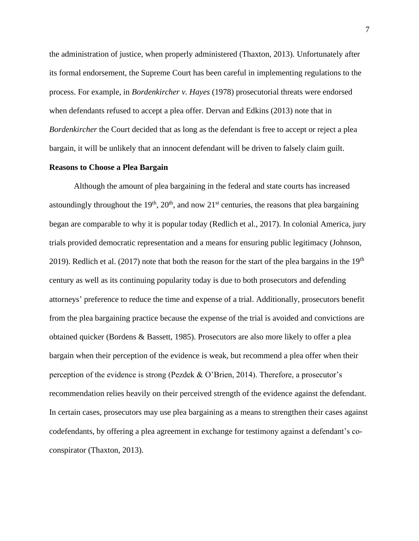the administration of justice, when properly administered (Thaxton, 2013). Unfortunately after its formal endorsement, the Supreme Court has been careful in implementing regulations to the process. For example, in *Bordenkircher v. Hayes* (1978) prosecutorial threats were endorsed when defendants refused to accept a plea offer. Dervan and Edkins (2013) note that in *Bordenkircher* the Court decided that as long as the defendant is free to accept or reject a plea bargain, it will be unlikely that an innocent defendant will be driven to falsely claim guilt.

#### **Reasons to Choose a Plea Bargain**

Although the amount of plea bargaining in the federal and state courts has increased astoundingly throughout the 19<sup>th</sup>, 20<sup>th</sup>, and now 21<sup>st</sup> centuries, the reasons that plea bargaining began are comparable to why it is popular today (Redlich et al., 2017). In colonial America, jury trials provided democratic representation and a means for ensuring public legitimacy (Johnson, 2019). Redlich et al. (2017) note that both the reason for the start of the plea bargains in the  $19<sup>th</sup>$ century as well as its continuing popularity today is due to both prosecutors and defending attorneys' preference to reduce the time and expense of a trial. Additionally, prosecutors benefit from the plea bargaining practice because the expense of the trial is avoided and convictions are obtained quicker (Bordens & Bassett, 1985). Prosecutors are also more likely to offer a plea bargain when their perception of the evidence is weak, but recommend a plea offer when their perception of the evidence is strong (Pezdek & O'Brien, 2014). Therefore, a prosecutor's recommendation relies heavily on their perceived strength of the evidence against the defendant. In certain cases, prosecutors may use plea bargaining as a means to strengthen their cases against codefendants, by offering a plea agreement in exchange for testimony against a defendant's coconspirator (Thaxton, 2013).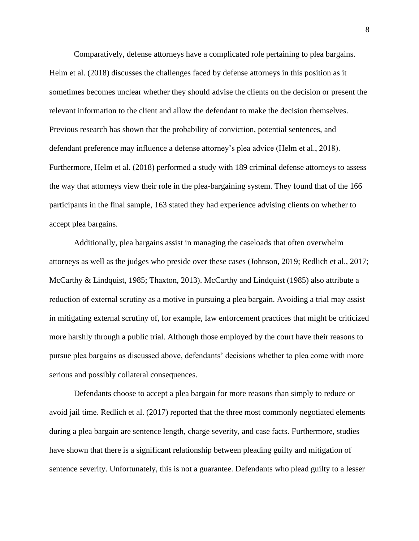Comparatively, defense attorneys have a complicated role pertaining to plea bargains. Helm et al. (2018) discusses the challenges faced by defense attorneys in this position as it sometimes becomes unclear whether they should advise the clients on the decision or present the relevant information to the client and allow the defendant to make the decision themselves. Previous research has shown that the probability of conviction, potential sentences, and defendant preference may influence a defense attorney's plea advice (Helm et al., 2018). Furthermore, Helm et al. (2018) performed a study with 189 criminal defense attorneys to assess the way that attorneys view their role in the plea-bargaining system. They found that of the 166 participants in the final sample, 163 stated they had experience advising clients on whether to accept plea bargains.

Additionally, plea bargains assist in managing the caseloads that often overwhelm attorneys as well as the judges who preside over these cases (Johnson, 2019; Redlich et al., 2017; McCarthy & Lindquist, 1985; Thaxton, 2013). McCarthy and Lindquist (1985) also attribute a reduction of external scrutiny as a motive in pursuing a plea bargain. Avoiding a trial may assist in mitigating external scrutiny of, for example, law enforcement practices that might be criticized more harshly through a public trial. Although those employed by the court have their reasons to pursue plea bargains as discussed above, defendants' decisions whether to plea come with more serious and possibly collateral consequences.

Defendants choose to accept a plea bargain for more reasons than simply to reduce or avoid jail time. Redlich et al. (2017) reported that the three most commonly negotiated elements during a plea bargain are sentence length, charge severity, and case facts. Furthermore, studies have shown that there is a significant relationship between pleading guilty and mitigation of sentence severity. Unfortunately, this is not a guarantee. Defendants who plead guilty to a lesser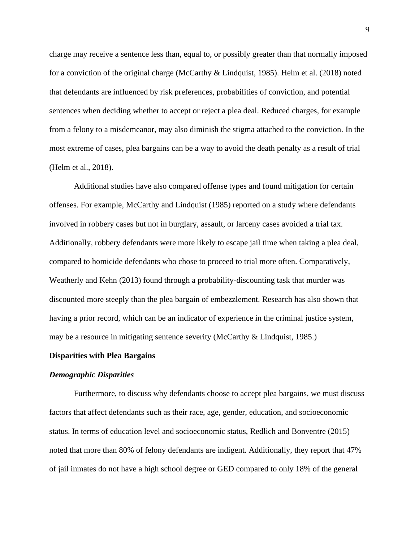charge may receive a sentence less than, equal to, or possibly greater than that normally imposed for a conviction of the original charge (McCarthy & Lindquist, 1985). Helm et al. (2018) noted that defendants are influenced by risk preferences, probabilities of conviction, and potential sentences when deciding whether to accept or reject a plea deal. Reduced charges, for example from a felony to a misdemeanor, may also diminish the stigma attached to the conviction. In the most extreme of cases, plea bargains can be a way to avoid the death penalty as a result of trial (Helm et al., 2018).

Additional studies have also compared offense types and found mitigation for certain offenses. For example, McCarthy and Lindquist (1985) reported on a study where defendants involved in robbery cases but not in burglary, assault, or larceny cases avoided a trial tax. Additionally, robbery defendants were more likely to escape jail time when taking a plea deal, compared to homicide defendants who chose to proceed to trial more often. Comparatively, Weatherly and Kehn (2013) found through a probability-discounting task that murder was discounted more steeply than the plea bargain of embezzlement. Research has also shown that having a prior record, which can be an indicator of experience in the criminal justice system, may be a resource in mitigating sentence severity (McCarthy & Lindquist, 1985.)

#### **Disparities with Plea Bargains**

#### *Demographic Disparities*

Furthermore, to discuss why defendants choose to accept plea bargains, we must discuss factors that affect defendants such as their race, age, gender, education, and socioeconomic status. In terms of education level and socioeconomic status, Redlich and Bonventre (2015) noted that more than 80% of felony defendants are indigent. Additionally, they report that 47% of jail inmates do not have a high school degree or GED compared to only 18% of the general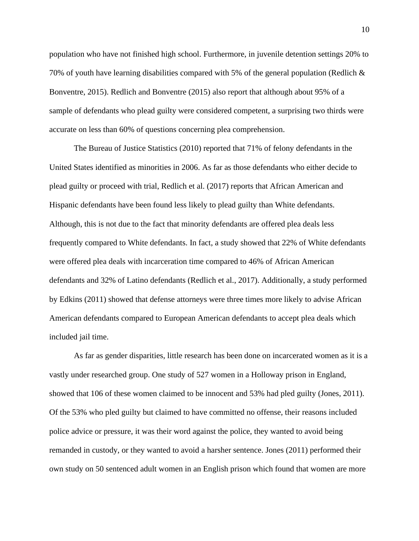population who have not finished high school. Furthermore, in juvenile detention settings 20% to 70% of youth have learning disabilities compared with 5% of the general population (Redlich  $\&$ Bonventre, 2015). Redlich and Bonventre (2015) also report that although about 95% of a sample of defendants who plead guilty were considered competent, a surprising two thirds were accurate on less than 60% of questions concerning plea comprehension.

The Bureau of Justice Statistics (2010) reported that 71% of felony defendants in the United States identified as minorities in 2006. As far as those defendants who either decide to plead guilty or proceed with trial, Redlich et al. (2017) reports that African American and Hispanic defendants have been found less likely to plead guilty than White defendants. Although, this is not due to the fact that minority defendants are offered plea deals less frequently compared to White defendants. In fact, a study showed that 22% of White defendants were offered plea deals with incarceration time compared to 46% of African American defendants and 32% of Latino defendants (Redlich et al., 2017). Additionally, a study performed by Edkins (2011) showed that defense attorneys were three times more likely to advise African American defendants compared to European American defendants to accept plea deals which included jail time.

As far as gender disparities, little research has been done on incarcerated women as it is a vastly under researched group. One study of 527 women in a Holloway prison in England, showed that 106 of these women claimed to be innocent and 53% had pled guilty (Jones, 2011). Of the 53% who pled guilty but claimed to have committed no offense, their reasons included police advice or pressure, it was their word against the police, they wanted to avoid being remanded in custody, or they wanted to avoid a harsher sentence. Jones (2011) performed their own study on 50 sentenced adult women in an English prison which found that women are more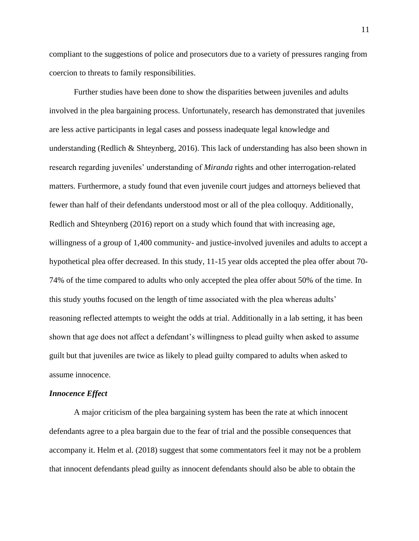compliant to the suggestions of police and prosecutors due to a variety of pressures ranging from coercion to threats to family responsibilities.

Further studies have been done to show the disparities between juveniles and adults involved in the plea bargaining process. Unfortunately, research has demonstrated that juveniles are less active participants in legal cases and possess inadequate legal knowledge and understanding (Redlich & Shteynberg, 2016). This lack of understanding has also been shown in research regarding juveniles' understanding of *Miranda* rights and other interrogation-related matters. Furthermore, a study found that even juvenile court judges and attorneys believed that fewer than half of their defendants understood most or all of the plea colloquy. Additionally, Redlich and Shteynberg (2016) report on a study which found that with increasing age, willingness of a group of 1,400 community- and justice-involved juveniles and adults to accept a hypothetical plea offer decreased. In this study, 11-15 year olds accepted the plea offer about 70- 74% of the time compared to adults who only accepted the plea offer about 50% of the time. In this study youths focused on the length of time associated with the plea whereas adults' reasoning reflected attempts to weight the odds at trial. Additionally in a lab setting, it has been shown that age does not affect a defendant's willingness to plead guilty when asked to assume guilt but that juveniles are twice as likely to plead guilty compared to adults when asked to assume innocence.

#### *Innocence Effect*

A major criticism of the plea bargaining system has been the rate at which innocent defendants agree to a plea bargain due to the fear of trial and the possible consequences that accompany it. Helm et al. (2018) suggest that some commentators feel it may not be a problem that innocent defendants plead guilty as innocent defendants should also be able to obtain the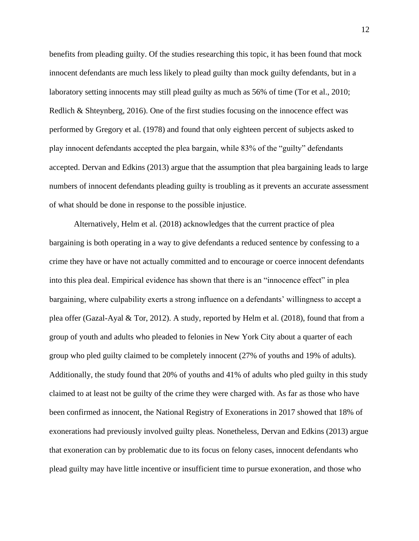benefits from pleading guilty. Of the studies researching this topic, it has been found that mock innocent defendants are much less likely to plead guilty than mock guilty defendants, but in a laboratory setting innocents may still plead guilty as much as 56% of time (Tor et al., 2010; Redlich & Shteynberg, 2016). One of the first studies focusing on the innocence effect was performed by Gregory et al. (1978) and found that only eighteen percent of subjects asked to play innocent defendants accepted the plea bargain, while 83% of the "guilty" defendants accepted. Dervan and Edkins (2013) argue that the assumption that plea bargaining leads to large numbers of innocent defendants pleading guilty is troubling as it prevents an accurate assessment of what should be done in response to the possible injustice.

Alternatively, Helm et al. (2018) acknowledges that the current practice of plea bargaining is both operating in a way to give defendants a reduced sentence by confessing to a crime they have or have not actually committed and to encourage or coerce innocent defendants into this plea deal. Empirical evidence has shown that there is an "innocence effect" in plea bargaining, where culpability exerts a strong influence on a defendants' willingness to accept a plea offer (Gazal-Ayal & Tor, 2012). A study, reported by Helm et al. (2018), found that from a group of youth and adults who pleaded to felonies in New York City about a quarter of each group who pled guilty claimed to be completely innocent (27% of youths and 19% of adults). Additionally, the study found that 20% of youths and 41% of adults who pled guilty in this study claimed to at least not be guilty of the crime they were charged with. As far as those who have been confirmed as innocent, the National Registry of Exonerations in 2017 showed that 18% of exonerations had previously involved guilty pleas. Nonetheless, Dervan and Edkins (2013) argue that exoneration can by problematic due to its focus on felony cases, innocent defendants who plead guilty may have little incentive or insufficient time to pursue exoneration, and those who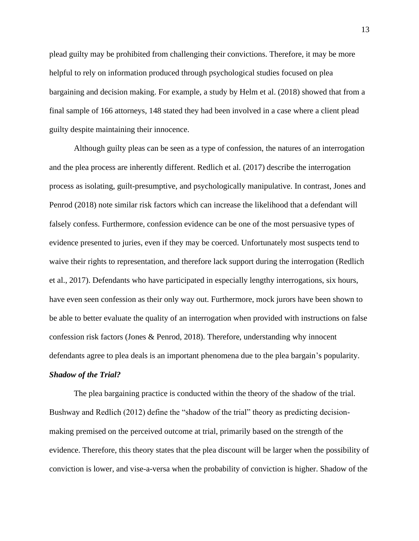plead guilty may be prohibited from challenging their convictions. Therefore, it may be more helpful to rely on information produced through psychological studies focused on plea bargaining and decision making. For example, a study by Helm et al. (2018) showed that from a final sample of 166 attorneys, 148 stated they had been involved in a case where a client plead guilty despite maintaining their innocence.

Although guilty pleas can be seen as a type of confession, the natures of an interrogation and the plea process are inherently different. Redlich et al. (2017) describe the interrogation process as isolating, guilt-presumptive, and psychologically manipulative. In contrast, Jones and Penrod (2018) note similar risk factors which can increase the likelihood that a defendant will falsely confess. Furthermore, confession evidence can be one of the most persuasive types of evidence presented to juries, even if they may be coerced. Unfortunately most suspects tend to waive their rights to representation, and therefore lack support during the interrogation (Redlich et al., 2017). Defendants who have participated in especially lengthy interrogations, six hours, have even seen confession as their only way out. Furthermore, mock jurors have been shown to be able to better evaluate the quality of an interrogation when provided with instructions on false confession risk factors (Jones & Penrod, 2018). Therefore, understanding why innocent defendants agree to plea deals is an important phenomena due to the plea bargain's popularity.

# *Shadow of the Trial?*

The plea bargaining practice is conducted within the theory of the shadow of the trial. Bushway and Redlich (2012) define the "shadow of the trial" theory as predicting decisionmaking premised on the perceived outcome at trial, primarily based on the strength of the evidence. Therefore, this theory states that the plea discount will be larger when the possibility of conviction is lower, and vise-a-versa when the probability of conviction is higher. Shadow of the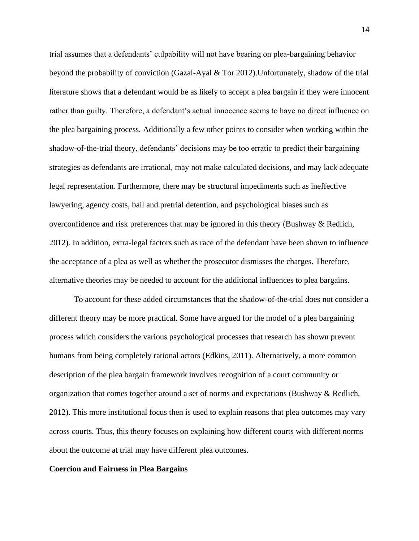trial assumes that a defendants' culpability will not have bearing on plea-bargaining behavior beyond the probability of conviction (Gazal-Ayal & Tor 2012).Unfortunately, shadow of the trial literature shows that a defendant would be as likely to accept a plea bargain if they were innocent rather than guilty. Therefore, a defendant's actual innocence seems to have no direct influence on the plea bargaining process. Additionally a few other points to consider when working within the shadow-of-the-trial theory, defendants' decisions may be too erratic to predict their bargaining strategies as defendants are irrational, may not make calculated decisions, and may lack adequate legal representation. Furthermore, there may be structural impediments such as ineffective lawyering, agency costs, bail and pretrial detention, and psychological biases such as overconfidence and risk preferences that may be ignored in this theory (Bushway & Redlich, 2012). In addition, extra-legal factors such as race of the defendant have been shown to influence the acceptance of a plea as well as whether the prosecutor dismisses the charges. Therefore, alternative theories may be needed to account for the additional influences to plea bargains.

To account for these added circumstances that the shadow-of-the-trial does not consider a different theory may be more practical. Some have argued for the model of a plea bargaining process which considers the various psychological processes that research has shown prevent humans from being completely rational actors (Edkins, 2011). Alternatively, a more common description of the plea bargain framework involves recognition of a court community or organization that comes together around a set of norms and expectations (Bushway & Redlich, 2012). This more institutional focus then is used to explain reasons that plea outcomes may vary across courts. Thus, this theory focuses on explaining how different courts with different norms about the outcome at trial may have different plea outcomes.

## **Coercion and Fairness in Plea Bargains**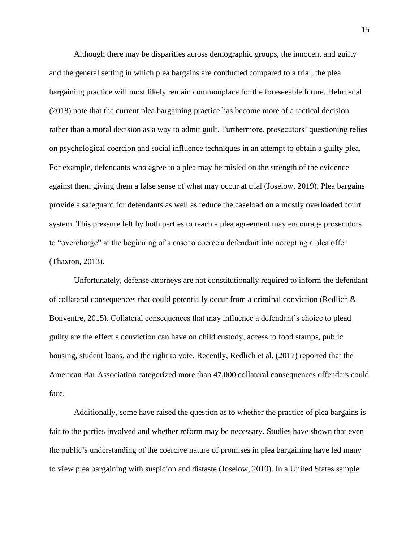Although there may be disparities across demographic groups, the innocent and guilty and the general setting in which plea bargains are conducted compared to a trial, the plea bargaining practice will most likely remain commonplace for the foreseeable future. Helm et al. (2018) note that the current plea bargaining practice has become more of a tactical decision rather than a moral decision as a way to admit guilt. Furthermore, prosecutors' questioning relies on psychological coercion and social influence techniques in an attempt to obtain a guilty plea. For example, defendants who agree to a plea may be misled on the strength of the evidence against them giving them a false sense of what may occur at trial (Joselow, 2019). Plea bargains provide a safeguard for defendants as well as reduce the caseload on a mostly overloaded court system. This pressure felt by both parties to reach a plea agreement may encourage prosecutors to "overcharge" at the beginning of a case to coerce a defendant into accepting a plea offer (Thaxton, 2013).

Unfortunately, defense attorneys are not constitutionally required to inform the defendant of collateral consequences that could potentially occur from a criminal conviction (Redlich  $\&$ Bonventre, 2015). Collateral consequences that may influence a defendant's choice to plead guilty are the effect a conviction can have on child custody, access to food stamps, public housing, student loans, and the right to vote. Recently, Redlich et al. (2017) reported that the American Bar Association categorized more than 47,000 collateral consequences offenders could face.

Additionally, some have raised the question as to whether the practice of plea bargains is fair to the parties involved and whether reform may be necessary. Studies have shown that even the public's understanding of the coercive nature of promises in plea bargaining have led many to view plea bargaining with suspicion and distaste (Joselow, 2019). In a United States sample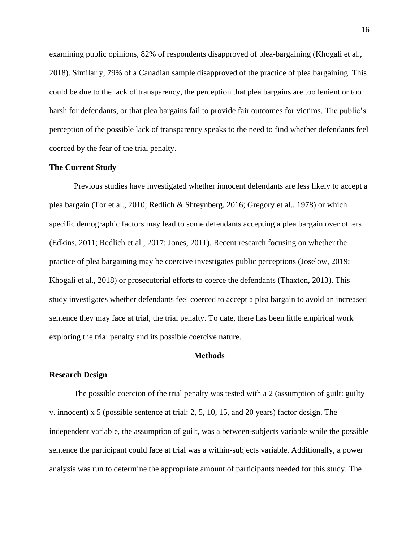examining public opinions, 82% of respondents disapproved of plea-bargaining (Khogali et al., 2018). Similarly, 79% of a Canadian sample disapproved of the practice of plea bargaining. This could be due to the lack of transparency, the perception that plea bargains are too lenient or too harsh for defendants, or that plea bargains fail to provide fair outcomes for victims. The public's perception of the possible lack of transparency speaks to the need to find whether defendants feel coerced by the fear of the trial penalty.

## **The Current Study**

Previous studies have investigated whether innocent defendants are less likely to accept a plea bargain (Tor et al., 2010; Redlich & Shteynberg, 2016; Gregory et al., 1978) or which specific demographic factors may lead to some defendants accepting a plea bargain over others (Edkins, 2011; Redlich et al., 2017; Jones, 2011). Recent research focusing on whether the practice of plea bargaining may be coercive investigates public perceptions (Joselow, 2019; Khogali et al., 2018) or prosecutorial efforts to coerce the defendants (Thaxton, 2013). This study investigates whether defendants feel coerced to accept a plea bargain to avoid an increased sentence they may face at trial, the trial penalty. To date, there has been little empirical work exploring the trial penalty and its possible coercive nature.

#### **Methods**

#### **Research Design**

The possible coercion of the trial penalty was tested with a 2 (assumption of guilt: guilty v. innocent) x 5 (possible sentence at trial: 2, 5, 10, 15, and 20 years) factor design. The independent variable, the assumption of guilt, was a between-subjects variable while the possible sentence the participant could face at trial was a within-subjects variable. Additionally, a power analysis was run to determine the appropriate amount of participants needed for this study. The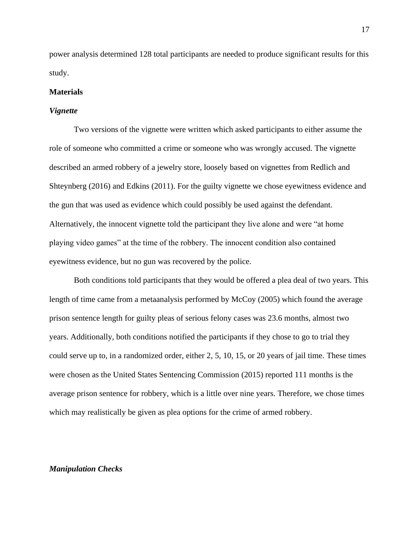power analysis determined 128 total participants are needed to produce significant results for this study.

## **Materials**

## *Vignette*

Two versions of the vignette were written which asked participants to either assume the role of someone who committed a crime or someone who was wrongly accused. The vignette described an armed robbery of a jewelry store, loosely based on vignettes from Redlich and Shteynberg (2016) and Edkins (2011). For the guilty vignette we chose eyewitness evidence and the gun that was used as evidence which could possibly be used against the defendant. Alternatively, the innocent vignette told the participant they live alone and were "at home playing video games" at the time of the robbery. The innocent condition also contained eyewitness evidence, but no gun was recovered by the police.

Both conditions told participants that they would be offered a plea deal of two years. This length of time came from a metaanalysis performed by McCoy (2005) which found the average prison sentence length for guilty pleas of serious felony cases was 23.6 months, almost two years. Additionally, both conditions notified the participants if they chose to go to trial they could serve up to, in a randomized order, either 2, 5, 10, 15, or 20 years of jail time. These times were chosen as the United States Sentencing Commission (2015) reported 111 months is the average prison sentence for robbery, which is a little over nine years. Therefore, we chose times which may realistically be given as plea options for the crime of armed robbery.

## *Manipulation Checks*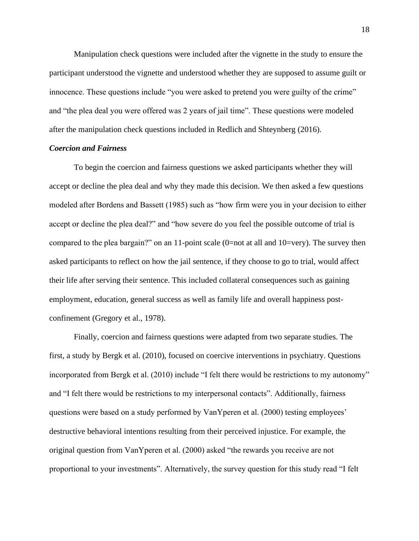Manipulation check questions were included after the vignette in the study to ensure the participant understood the vignette and understood whether they are supposed to assume guilt or innocence. These questions include "you were asked to pretend you were guilty of the crime" and "the plea deal you were offered was 2 years of jail time". These questions were modeled after the manipulation check questions included in Redlich and Shteynberg (2016).

## *Coercion and Fairness*

To begin the coercion and fairness questions we asked participants whether they will accept or decline the plea deal and why they made this decision. We then asked a few questions modeled after Bordens and Bassett (1985) such as "how firm were you in your decision to either accept or decline the plea deal?" and "how severe do you feel the possible outcome of trial is compared to the plea bargain?" on an 11-point scale (0=not at all and 10=very). The survey then asked participants to reflect on how the jail sentence, if they choose to go to trial, would affect their life after serving their sentence. This included collateral consequences such as gaining employment, education, general success as well as family life and overall happiness postconfinement (Gregory et al., 1978).

Finally, coercion and fairness questions were adapted from two separate studies. The first, a study by Bergk et al. (2010), focused on coercive interventions in psychiatry. Questions incorporated from Bergk et al. (2010) include "I felt there would be restrictions to my autonomy" and "I felt there would be restrictions to my interpersonal contacts". Additionally, fairness questions were based on a study performed by VanYperen et al. (2000) testing employees' destructive behavioral intentions resulting from their perceived injustice. For example, the original question from VanYperen et al. (2000) asked "the rewards you receive are not proportional to your investments". Alternatively, the survey question for this study read "I felt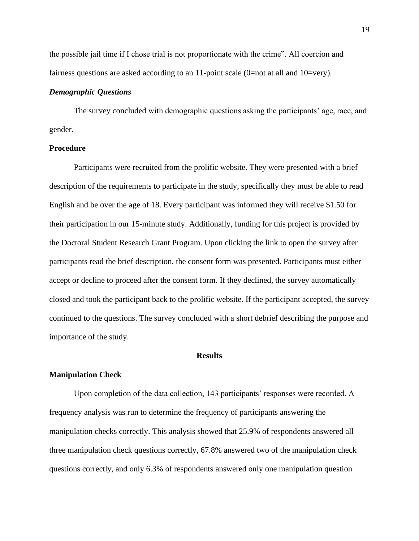the possible jail time if I chose trial is not proportionate with the crime". All coercion and fairness questions are asked according to an 11-point scale (0=not at all and 10=very).

## *Demographic Questions*

The survey concluded with demographic questions asking the participants' age, race, and gender.

#### **Procedure**

Participants were recruited from the prolific website. They were presented with a brief description of the requirements to participate in the study, specifically they must be able to read English and be over the age of 18. Every participant was informed they will receive \$1.50 for their participation in our 15-minute study. Additionally, funding for this project is provided by the Doctoral Student Research Grant Program. Upon clicking the link to open the survey after participants read the brief description, the consent form was presented. Participants must either accept or decline to proceed after the consent form. If they declined, the survey automatically closed and took the participant back to the prolific website. If the participant accepted, the survey continued to the questions. The survey concluded with a short debrief describing the purpose and importance of the study.

# **Results**

#### **Manipulation Check**

Upon completion of the data collection, 143 participants' responses were recorded. A frequency analysis was run to determine the frequency of participants answering the manipulation checks correctly. This analysis showed that 25.9% of respondents answered all three manipulation check questions correctly, 67.8% answered two of the manipulation check questions correctly, and only 6.3% of respondents answered only one manipulation question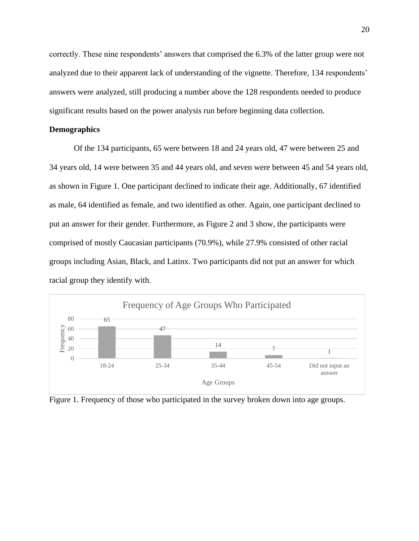correctly. These nine respondents' answers that comprised the 6.3% of the latter group were not analyzed due to their apparent lack of understanding of the vignette. Therefore, 134 respondents' answers were analyzed, still producing a number above the 128 respondents needed to produce significant results based on the power analysis run before beginning data collection.

## **Demographics**

Of the 134 participants, 65 were between 18 and 24 years old, 47 were between 25 and 34 years old, 14 were between 35 and 44 years old, and seven were between 45 and 54 years old, as shown in Figure 1. One participant declined to indicate their age. Additionally, 67 identified as male, 64 identified as female, and two identified as other. Again, one participant declined to put an answer for their gender. Furthermore, as Figure 2 and 3 show, the participants were comprised of mostly Caucasian participants (70.9%), while 27.9% consisted of other racial groups including Asian, Black, and Latinx. Two participants did not put an answer for which racial group they identify with.



Figure 1. Frequency of those who participated in the survey broken down into age groups.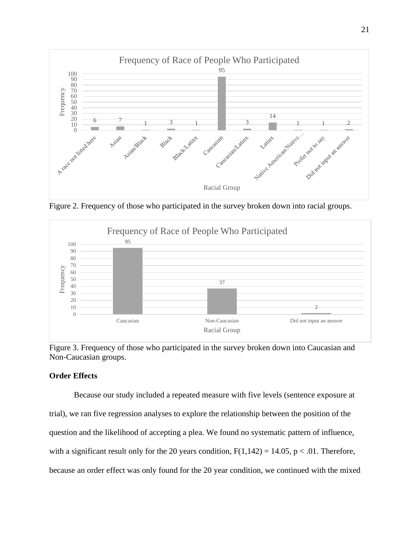

Figure 2. Frequency of those who participated in the survey broken down into racial groups.



Figure 3. Frequency of those who participated in the survey broken down into Caucasian and Non-Caucasian groups.

# **Order Effects**

Because our study included a repeated measure with five levels (sentence exposure at trial), we ran five regression analyses to explore the relationship between the position of the question and the likelihood of accepting a plea. We found no systematic pattern of influence, with a significant result only for the 20 years condition,  $F(1,142) = 14.05$ ,  $p < .01$ . Therefore, because an order effect was only found for the 20 year condition, we continued with the mixed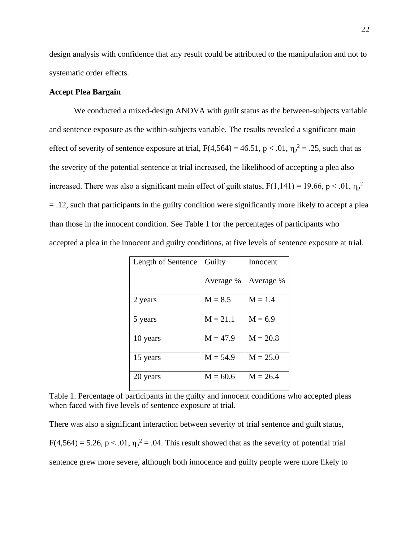design analysis with confidence that any result could be attributed to the manipulation and not to systematic order effects.

# **Accept Plea Bargain**

We conducted a mixed-design ANOVA with guilt status as the between-subjects variable and sentence exposure as the within-subjects variable. The results revealed a significant main effect of severity of sentence exposure at trial,  $F(4,564) = 46.51$ ,  $p < .01$ ,  $\eta_p^2 = .25$ , such that as the severity of the potential sentence at trial increased, the likelihood of accepting a plea also increased. There was also a significant main effect of guilt status,  $F(1,141) = 19.66$ , p < .01,  $\eta_p^2$ = .12, such that participants in the guilty condition were significantly more likely to accept a plea than those in the innocent condition. See Table 1 for the percentages of participants who accepted a plea in the innocent and guilty conditions, at five levels of sentence exposure at trial.

| Length of Sentence | Guilty     | Innocent   |
|--------------------|------------|------------|
|                    | Average %  | Average %  |
| 2 years            | $M = 8.5$  | $M = 1.4$  |
| 5 years            | $M = 21.1$ | $M = 6.9$  |
| 10 years           | $M = 47.9$ | $M = 20.8$ |
| 15 years           | $M = 54.9$ | $M = 25.0$ |
| 20 years           | $M = 60.6$ | $M = 26.4$ |

Table 1. Percentage of participants in the guilty and innocent conditions who accepted pleas when faced with five levels of sentence exposure at trial.

There was also a significant interaction between severity of trial sentence and guilt status,  $F(4,564) = 5.26$ ,  $p < .01$ ,  $\eta_p^2 = .04$ . This result showed that as the severity of potential trial sentence grew more severe, although both innocence and guilty people were more likely to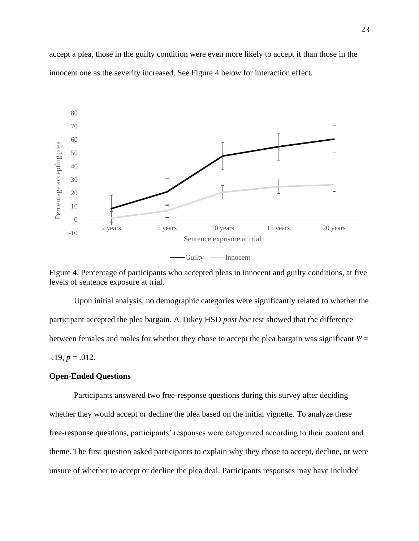accept a plea, those in the guilty condition were even more likely to accept it than those in the innocent one as the severity increased. See Figure 4 below for interaction effect.



Figure 4. Percentage of participants who accepted pleas in innocent and guilty conditions, at five levels of sentence exposure at trial.

Upon initial analysis, no demographic categories were significantly related to whether the participant accepted the plea bargain. A Tukey HSD *post hoc* test showed that the difference between females and males for whether they chose to accept the plea bargain was significant  $\Psi$  =  $-.19, p = .012.$ 

# **Open-Ended Questions**

Participants answered two free-response questions during this survey after deciding whether they would accept or decline the plea based on the initial vignette. To analyze these free-response questions, participants' responses were categorized according to their content and theme. The first question asked participants to explain why they chose to accept, decline, or were unsure of whether to accept or decline the plea deal. Participants responses may have included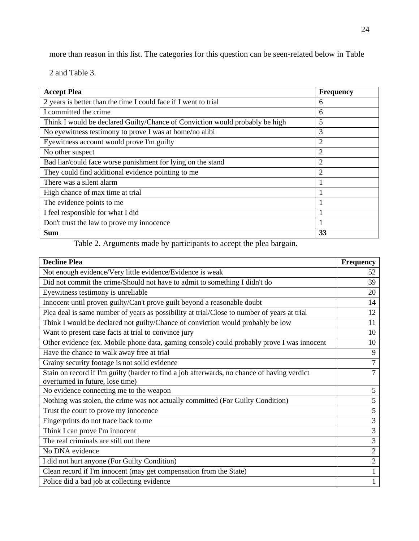more than reason in this list. The categories for this question can be seen-related below in Table

2 and Table 3.

| <b>Accept Plea</b>                                                           | <b>Frequency</b> |
|------------------------------------------------------------------------------|------------------|
| 2 years is better than the time I could face if I went to trial              | 6                |
| I committed the crime                                                        | 6                |
| Think I would be declared Guilty/Chance of Conviction would probably be high | 5                |
| No eyewitness testimony to prove I was at home/no alibi                      | 3                |
| Eyewitness account would prove I'm guilty                                    | $\overline{2}$   |
| No other suspect                                                             | $\overline{2}$   |
| Bad liar/could face worse punishment for lying on the stand                  | $\overline{2}$   |
| They could find additional evidence pointing to me                           | 2                |
| There was a silent alarm                                                     |                  |
| High chance of max time at trial                                             |                  |
| The evidence points to me                                                    |                  |
| I feel responsible for what I did                                            |                  |
| Don't trust the law to prove my innocence                                    | 1                |
| <b>Sum</b>                                                                   | 33               |

Table 2. Arguments made by participants to accept the plea bargain.

| <b>Decline Plea</b>                                                                         | <b>Frequency</b> |
|---------------------------------------------------------------------------------------------|------------------|
| Not enough evidence/Very little evidence/Evidence is weak                                   | 52               |
| Did not commit the crime/Should not have to admit to something I didn't do                  | 39               |
| Eyewitness testimony is unreliable                                                          | 20               |
| Innocent until proven guilty/Can't prove guilt beyond a reasonable doubt                    | 14               |
| Plea deal is same number of years as possibility at trial/Close to number of years at trial | 12               |
| Think I would be declared not guilty/Chance of conviction would probably be low             | 11               |
| Want to present case facts at trial to convince jury                                        | 10               |
| Other evidence (ex. Mobile phone data, gaming console) could probably prove I was innocent  | 10               |
| Have the chance to walk away free at trial                                                  | 9                |
| Grainy security footage is not solid evidence                                               | $\overline{7}$   |
| Stain on record if I'm guilty (harder to find a job afterwards, no chance of having verdict | 7                |
| overturned in future, lose time)                                                            |                  |
| No evidence connecting me to the weapon                                                     | 5                |
| Nothing was stolen, the crime was not actually committed (For Guilty Condition)             | 5                |
| Trust the court to prove my innocence                                                       | 5                |
| Fingerprints do not trace back to me                                                        | 3                |
| Think I can prove I'm innocent                                                              | 3                |
| The real criminals are still out there                                                      | 3                |
| No DNA evidence                                                                             | $\overline{2}$   |
| I did not hurt anyone (For Guilty Condition)                                                | $\overline{2}$   |
| Clean record if I'm innocent (may get compensation from the State)                          |                  |
| Police did a bad job at collecting evidence                                                 | 1                |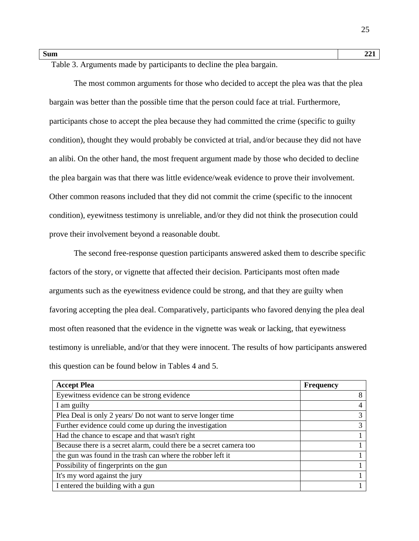Table 3. Arguments made by participants to decline the plea bargain.

The most common arguments for those who decided to accept the plea was that the plea bargain was better than the possible time that the person could face at trial. Furthermore, participants chose to accept the plea because they had committed the crime (specific to guilty condition), thought they would probably be convicted at trial, and/or because they did not have an alibi. On the other hand, the most frequent argument made by those who decided to decline the plea bargain was that there was little evidence/weak evidence to prove their involvement. Other common reasons included that they did not commit the crime (specific to the innocent condition), eyewitness testimony is unreliable, and/or they did not think the prosecution could prove their involvement beyond a reasonable doubt.

The second free-response question participants answered asked them to describe specific factors of the story, or vignette that affected their decision. Participants most often made arguments such as the eyewitness evidence could be strong, and that they are guilty when favoring accepting the plea deal. Comparatively, participants who favored denying the plea deal most often reasoned that the evidence in the vignette was weak or lacking, that eyewitness testimony is unreliable, and/or that they were innocent. The results of how participants answered this question can be found below in Tables 4 and 5.

| <b>Accept Plea</b>                                                  | <b>Frequency</b> |
|---------------------------------------------------------------------|------------------|
| Eyewitness evidence can be strong evidence                          | 8                |
| I am guilty                                                         |                  |
| Plea Deal is only 2 years/ Do not want to serve longer time         | 3                |
| Further evidence could come up during the investigation             | 3                |
| Had the chance to escape and that wasn't right                      |                  |
| Because there is a secret alarm, could there be a secret camera too |                  |
| the gun was found in the trash can where the robber left it         |                  |
| Possibility of fingerprints on the gun                              |                  |
| It's my word against the jury                                       |                  |
| I entered the building with a gun                                   |                  |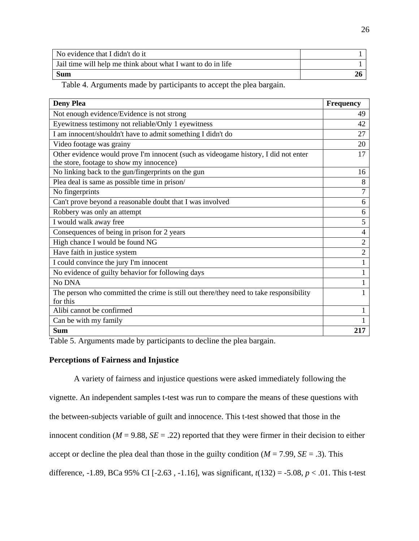| No evidence that I didn't do it                              |  |
|--------------------------------------------------------------|--|
| Jail time will help me think about what I want to do in life |  |
| <b>Sum</b>                                                   |  |

Table 4. Arguments made by participants to accept the plea bargain.

| <b>Deny Plea</b>                                                                       | <b>Frequency</b> |
|----------------------------------------------------------------------------------------|------------------|
| Not enough evidence/Evidence is not strong                                             | 49               |
| Eyewitness testimony not reliable/Only 1 eyewitness                                    | 42               |
| I am innocent/shouldn't have to admit something I didn't do                            | 27               |
| Video footage was grainy                                                               | 20               |
| Other evidence would prove I'm innocent (such as videogame history, I did not enter    | 17               |
| the store, footage to show my innocence)                                               |                  |
| No linking back to the gun/fingerprints on the gun                                     | 16               |
| Plea deal is same as possible time in prison/                                          | 8                |
| No fingerprints                                                                        | 7                |
| Can't prove beyond a reasonable doubt that I was involved                              | 6                |
| Robbery was only an attempt                                                            | 6                |
| I would walk away free                                                                 | 5                |
| Consequences of being in prison for 2 years                                            | 4                |
| High chance I would be found NG                                                        | $\overline{2}$   |
| Have faith in justice system                                                           | $\overline{2}$   |
| I could convince the jury I'm innocent                                                 | $\mathbf{1}$     |
| No evidence of guilty behavior for following days                                      | $\mathbf{1}$     |
| No DNA                                                                                 | 1                |
| The person who committed the crime is still out there/they need to take responsibility |                  |
| for this                                                                               |                  |
| Alibi cannot be confirmed                                                              | 1                |
| Can be with my family                                                                  |                  |
| <b>Sum</b>                                                                             | 217              |

Table 5. Arguments made by participants to decline the plea bargain.

## **Perceptions of Fairness and Injustice**

A variety of fairness and injustice questions were asked immediately following the vignette. An independent samples t-test was run to compare the means of these questions with the between-subjects variable of guilt and innocence. This t-test showed that those in the innocent condition ( $M = 9.88$ ,  $SE = .22$ ) reported that they were firmer in their decision to either accept or decline the plea deal than those in the guilty condition  $(M = 7.99, SE = .3)$ . This difference, -1.89, BCa 95% CI [-2.63 , -1.16], was significant, *t*(132) = -5.08, *p* < .01. This t-test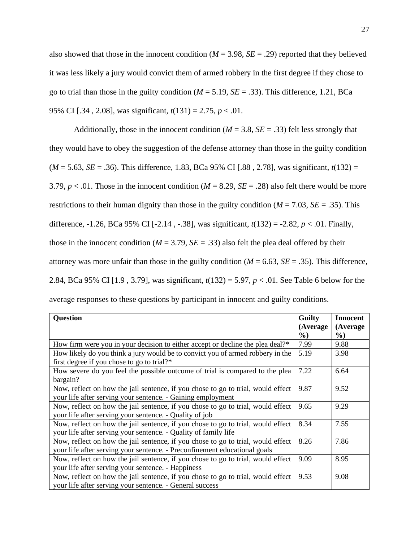also showed that those in the innocent condition ( $M = 3.98$ ,  $SE = .29$ ) reported that they believed it was less likely a jury would convict them of armed robbery in the first degree if they chose to go to trial than those in the guilty condition  $(M = 5.19, SE = .33)$ . This difference, 1.21, BCa 95% CI [.34 , 2.08], was significant, *t*(131) = 2.75, *p* < .01.

Additionally, those in the innocent condition ( $M = 3.8$ ,  $SE = .33$ ) felt less strongly that they would have to obey the suggestion of the defense attorney than those in the guilty condition  $(M = 5.63, SE = .36)$ . This difference, 1.83, BCa 95% CI [.88, 2.78], was significant,  $t(132) =$ 3.79,  $p < 0.01$ . Those in the innocent condition ( $M = 8.29$ ,  $SE = 0.28$ ) also felt there would be more restrictions to their human dignity than those in the guilty condition  $(M = 7.03, SE = .35)$ . This difference, -1.26, BCa 95% CI [-2.14 , -.38], was significant, *t*(132) = -2.82, *p* < .01. Finally, those in the innocent condition ( $M = 3.79$ ,  $SE = .33$ ) also felt the plea deal offered by their attorney was more unfair than those in the guilty condition  $(M = 6.63, SE = .35)$ . This difference, 2.84, BCa 95% CI [1.9 , 3.79], was significant, *t*(132) = 5.97, *p* < .01. See Table 6 below for the average responses to these questions by participant in innocent and guilty conditions.

| <b>Question</b>                                                                  | <b>Guilty</b>    | <b>Innocent</b>    |
|----------------------------------------------------------------------------------|------------------|--------------------|
|                                                                                  | (Average<br>$\%$ | (Average<br>$\%$ ) |
| How firm were you in your decision to either accept or decline the plea deal?*   | 7.99             | 9.88               |
| How likely do you think a jury would be to convict you of armed robbery in the   | 5.19             | 3.98               |
| first degree if you chose to go to trial?*                                       |                  |                    |
| How severe do you feel the possible outcome of trial is compared to the plea     | 7.22             | 6.64               |
| bargain?                                                                         |                  |                    |
| Now, reflect on how the jail sentence, if you chose to go to trial, would effect | 9.87             | 9.52               |
| your life after serving your sentence. - Gaining employment                      |                  |                    |
| Now, reflect on how the jail sentence, if you chose to go to trial, would effect | 9.65             | 9.29               |
| your life after serving your sentence. - Quality of job                          |                  |                    |
| Now, reflect on how the jail sentence, if you chose to go to trial, would effect | 8.34             | 7.55               |
| your life after serving your sentence. - Quality of family life                  |                  |                    |
| Now, reflect on how the jail sentence, if you chose to go to trial, would effect | 8.26             | 7.86               |
| your life after serving your sentence. - Preconfinement educational goals        |                  |                    |
| Now, reflect on how the jail sentence, if you chose to go to trial, would effect | 9.09             | 8.95               |
| your life after serving your sentence. - Happiness                               |                  |                    |
| Now, reflect on how the jail sentence, if you chose to go to trial, would effect | 9.53             | 9.08               |
| your life after serving your sentence. - General success                         |                  |                    |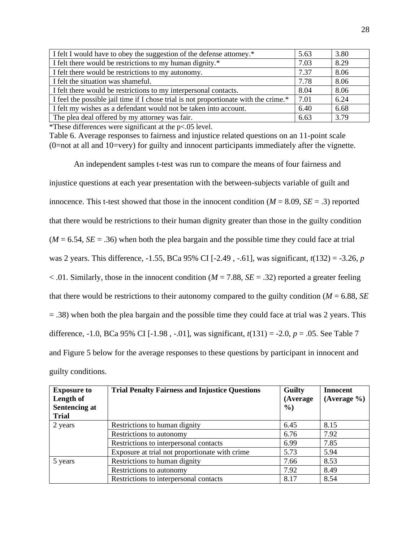| I felt I would have to obey the suggestion of the defense attorney.*                 | 5.63 | 3.80 |
|--------------------------------------------------------------------------------------|------|------|
| I felt there would be restrictions to my human dignity.*                             | 7.03 | 8.29 |
| I felt there would be restrictions to my autonomy.                                   | 7.37 | 8.06 |
| I felt the situation was shameful.                                                   | 7.78 | 8.06 |
| I felt there would be restrictions to my interpersonal contacts.                     | 8.04 | 8.06 |
| I feel the possible jail time if I chose trial is not proportionate with the crime.* | 7.01 | 6.24 |
| I felt my wishes as a defendant would not be taken into account.                     | 6.40 | 6.68 |
| The plea deal offered by my attorney was fair.                                       | 6.63 | 3.79 |

\*These differences were significant at the p<.05 level.

Table 6. Average responses to fairness and injustice related questions on an 11-point scale (0=not at all and 10=very) for guilty and innocent participants immediately after the vignette.

An independent samples t-test was run to compare the means of four fairness and injustice questions at each year presentation with the between-subjects variable of guilt and innocence. This t-test showed that those in the innocent condition  $(M = 8.09, SE = .3)$  reported that there would be restrictions to their human dignity greater than those in the guilty condition  $(M = 6.54, SE = .36)$  when both the plea bargain and the possible time they could face at trial was 2 years. This difference, -1.55, BCa 95% CI [-2.49 , -.61], was significant, *t*(132) = -3.26, *p*  $< .01$ . Similarly, those in the innocent condition ( $M = 7.88$ ,  $SE = .32$ ) reported a greater feeling that there would be restrictions to their autonomy compared to the guilty condition ( $M = 6.88$ , *SE*) = .38) when both the plea bargain and the possible time they could face at trial was 2 years. This difference, -1.0, BCa 95% CI [-1.98 , -.01], was significant, *t*(131) = -2.0, *p* = .05. See Table 7 and Figure 5 below for the average responses to these questions by participant in innocent and guilty conditions.

| <b>Exposure to</b>   | <b>Trial Penalty Fairness and Injustice Questions</b> | <b>Guilty</b> | <b>Innocent</b> |
|----------------------|-------------------------------------------------------|---------------|-----------------|
| Length of            |                                                       | (Average      | (Average %)     |
| <b>Sentencing at</b> |                                                       | $\%$ )        |                 |
| <b>Trial</b>         |                                                       |               |                 |
| 2 years              | Restrictions to human dignity                         | 6.45          | 8.15            |
|                      | Restrictions to autonomy                              | 6.76          | 7.92            |
|                      | Restrictions to interpersonal contacts                | 6.99          | 7.85            |
|                      | Exposure at trial not proportionate with crime        | 5.73          | 5.94            |
| 5 years              | Restrictions to human dignity                         | 7.66          | 8.53            |
|                      | Restrictions to autonomy                              | 7.92          | 8.49            |
|                      | Restrictions to interpersonal contacts                | 8.17          | 8.54            |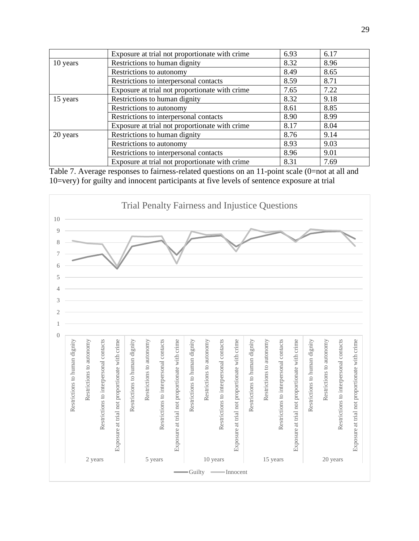|          | Exposure at trial not proportionate with crime | 6.93 | 6.17 |
|----------|------------------------------------------------|------|------|
| 10 years | Restrictions to human dignity                  | 8.32 | 8.96 |
|          | Restrictions to autonomy                       | 8.49 | 8.65 |
|          | Restrictions to interpersonal contacts         | 8.59 | 8.71 |
|          | Exposure at trial not proportionate with crime | 7.65 | 7.22 |
| 15 years | Restrictions to human dignity                  | 8.32 | 9.18 |
|          | Restrictions to autonomy                       | 8.61 | 8.85 |
|          | Restrictions to interpersonal contacts         | 8.90 | 8.99 |
|          | Exposure at trial not proportionate with crime | 8.17 | 8.04 |
| 20 years | Restrictions to human dignity                  | 8.76 | 9.14 |
|          | Restrictions to autonomy                       | 8.93 | 9.03 |
|          | Restrictions to interpersonal contacts         | 8.96 | 9.01 |
|          | Exposure at trial not proportionate with crime | 8.31 | 7.69 |

Table 7. Average responses to fairness-related questions on an 11-point scale (0=not at all and 10=very) for guilty and innocent participants at five levels of sentence exposure at trial

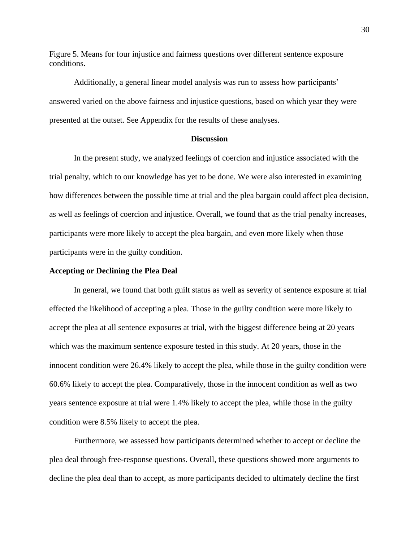Figure 5. Means for four injustice and fairness questions over different sentence exposure conditions.

Additionally, a general linear model analysis was run to assess how participants' answered varied on the above fairness and injustice questions, based on which year they were presented at the outset. See Appendix for the results of these analyses.

# **Discussion**

In the present study, we analyzed feelings of coercion and injustice associated with the trial penalty, which to our knowledge has yet to be done. We were also interested in examining how differences between the possible time at trial and the plea bargain could affect plea decision, as well as feelings of coercion and injustice. Overall, we found that as the trial penalty increases, participants were more likely to accept the plea bargain, and even more likely when those participants were in the guilty condition.

#### **Accepting or Declining the Plea Deal**

In general, we found that both guilt status as well as severity of sentence exposure at trial effected the likelihood of accepting a plea. Those in the guilty condition were more likely to accept the plea at all sentence exposures at trial, with the biggest difference being at 20 years which was the maximum sentence exposure tested in this study. At 20 years, those in the innocent condition were 26.4% likely to accept the plea, while those in the guilty condition were 60.6% likely to accept the plea. Comparatively, those in the innocent condition as well as two years sentence exposure at trial were 1.4% likely to accept the plea, while those in the guilty condition were 8.5% likely to accept the plea.

Furthermore, we assessed how participants determined whether to accept or decline the plea deal through free-response questions. Overall, these questions showed more arguments to decline the plea deal than to accept, as more participants decided to ultimately decline the first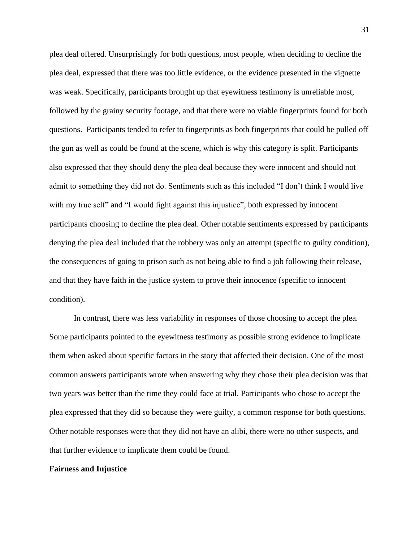plea deal offered. Unsurprisingly for both questions, most people, when deciding to decline the plea deal, expressed that there was too little evidence, or the evidence presented in the vignette was weak. Specifically, participants brought up that eyewitness testimony is unreliable most, followed by the grainy security footage, and that there were no viable fingerprints found for both questions. Participants tended to refer to fingerprints as both fingerprints that could be pulled off the gun as well as could be found at the scene, which is why this category is split. Participants also expressed that they should deny the plea deal because they were innocent and should not admit to something they did not do. Sentiments such as this included "I don't think I would live with my true self" and "I would fight against this injustice", both expressed by innocent participants choosing to decline the plea deal. Other notable sentiments expressed by participants denying the plea deal included that the robbery was only an attempt (specific to guilty condition), the consequences of going to prison such as not being able to find a job following their release, and that they have faith in the justice system to prove their innocence (specific to innocent condition).

In contrast, there was less variability in responses of those choosing to accept the plea. Some participants pointed to the eyewitness testimony as possible strong evidence to implicate them when asked about specific factors in the story that affected their decision. One of the most common answers participants wrote when answering why they chose their plea decision was that two years was better than the time they could face at trial. Participants who chose to accept the plea expressed that they did so because they were guilty, a common response for both questions. Other notable responses were that they did not have an alibi, there were no other suspects, and that further evidence to implicate them could be found.

## **Fairness and Injustice**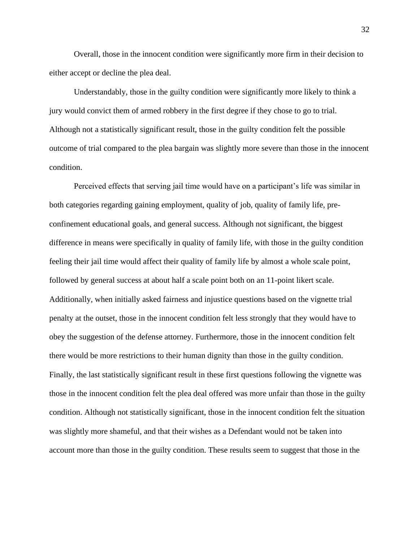Overall, those in the innocent condition were significantly more firm in their decision to either accept or decline the plea deal.

Understandably, those in the guilty condition were significantly more likely to think a jury would convict them of armed robbery in the first degree if they chose to go to trial. Although not a statistically significant result, those in the guilty condition felt the possible outcome of trial compared to the plea bargain was slightly more severe than those in the innocent condition.

Perceived effects that serving jail time would have on a participant's life was similar in both categories regarding gaining employment, quality of job, quality of family life, preconfinement educational goals, and general success. Although not significant, the biggest difference in means were specifically in quality of family life, with those in the guilty condition feeling their jail time would affect their quality of family life by almost a whole scale point, followed by general success at about half a scale point both on an 11-point likert scale. Additionally, when initially asked fairness and injustice questions based on the vignette trial penalty at the outset, those in the innocent condition felt less strongly that they would have to obey the suggestion of the defense attorney. Furthermore, those in the innocent condition felt there would be more restrictions to their human dignity than those in the guilty condition. Finally, the last statistically significant result in these first questions following the vignette was those in the innocent condition felt the plea deal offered was more unfair than those in the guilty condition. Although not statistically significant, those in the innocent condition felt the situation was slightly more shameful, and that their wishes as a Defendant would not be taken into account more than those in the guilty condition. These results seem to suggest that those in the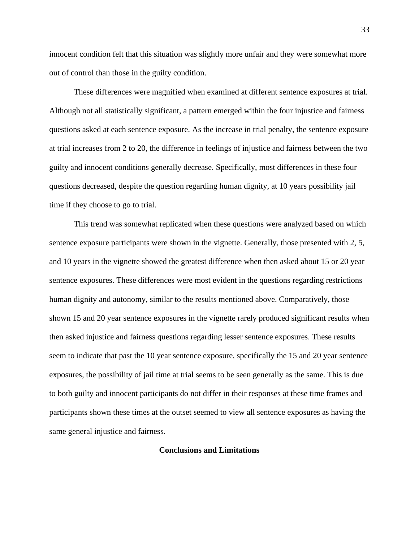innocent condition felt that this situation was slightly more unfair and they were somewhat more out of control than those in the guilty condition.

These differences were magnified when examined at different sentence exposures at trial. Although not all statistically significant, a pattern emerged within the four injustice and fairness questions asked at each sentence exposure. As the increase in trial penalty, the sentence exposure at trial increases from 2 to 20, the difference in feelings of injustice and fairness between the two guilty and innocent conditions generally decrease. Specifically, most differences in these four questions decreased, despite the question regarding human dignity, at 10 years possibility jail time if they choose to go to trial.

This trend was somewhat replicated when these questions were analyzed based on which sentence exposure participants were shown in the vignette. Generally, those presented with 2, 5, and 10 years in the vignette showed the greatest difference when then asked about 15 or 20 year sentence exposures. These differences were most evident in the questions regarding restrictions human dignity and autonomy, similar to the results mentioned above. Comparatively, those shown 15 and 20 year sentence exposures in the vignette rarely produced significant results when then asked injustice and fairness questions regarding lesser sentence exposures. These results seem to indicate that past the 10 year sentence exposure, specifically the 15 and 20 year sentence exposures, the possibility of jail time at trial seems to be seen generally as the same. This is due to both guilty and innocent participants do not differ in their responses at these time frames and participants shown these times at the outset seemed to view all sentence exposures as having the same general injustice and fairness.

## **Conclusions and Limitations**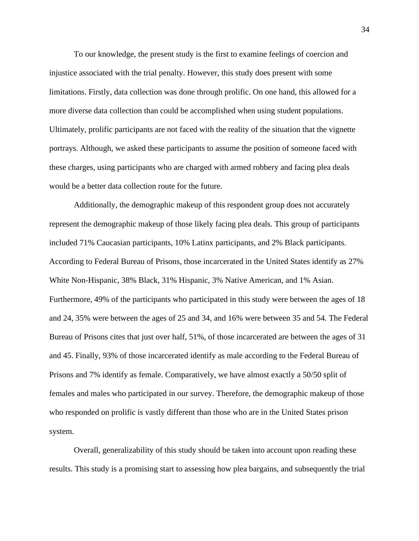To our knowledge, the present study is the first to examine feelings of coercion and injustice associated with the trial penalty. However, this study does present with some limitations. Firstly, data collection was done through prolific. On one hand, this allowed for a more diverse data collection than could be accomplished when using student populations. Ultimately, prolific participants are not faced with the reality of the situation that the vignette portrays. Although, we asked these participants to assume the position of someone faced with these charges, using participants who are charged with armed robbery and facing plea deals would be a better data collection route for the future.

Additionally, the demographic makeup of this respondent group does not accurately represent the demographic makeup of those likely facing plea deals. This group of participants included 71% Caucasian participants, 10% Latinx participants, and 2% Black participants. According to Federal Bureau of Prisons, those incarcerated in the United States identify as 27% White Non-Hispanic, 38% Black, 31% Hispanic, 3% Native American, and 1% Asian. Furthermore, 49% of the participants who participated in this study were between the ages of 18 and 24, 35% were between the ages of 25 and 34, and 16% were between 35 and 54. The Federal Bureau of Prisons cites that just over half, 51%, of those incarcerated are between the ages of 31 and 45. Finally, 93% of those incarcerated identify as male according to the Federal Bureau of Prisons and 7% identify as female. Comparatively, we have almost exactly a 50/50 split of females and males who participated in our survey. Therefore, the demographic makeup of those who responded on prolific is vastly different than those who are in the United States prison system.

Overall, generalizability of this study should be taken into account upon reading these results. This study is a promising start to assessing how plea bargains, and subsequently the trial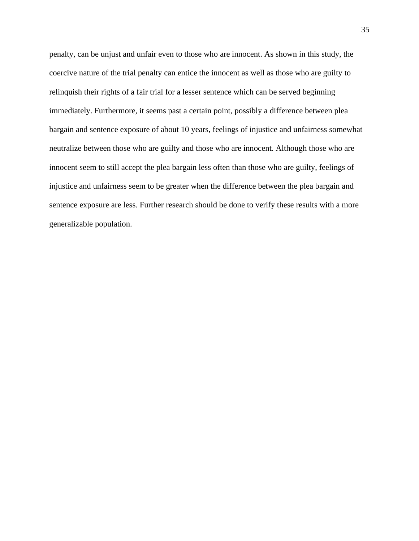penalty, can be unjust and unfair even to those who are innocent. As shown in this study, the coercive nature of the trial penalty can entice the innocent as well as those who are guilty to relinquish their rights of a fair trial for a lesser sentence which can be served beginning immediately. Furthermore, it seems past a certain point, possibly a difference between plea bargain and sentence exposure of about 10 years, feelings of injustice and unfairness somewhat neutralize between those who are guilty and those who are innocent. Although those who are innocent seem to still accept the plea bargain less often than those who are guilty, feelings of injustice and unfairness seem to be greater when the difference between the plea bargain and sentence exposure are less. Further research should be done to verify these results with a more generalizable population.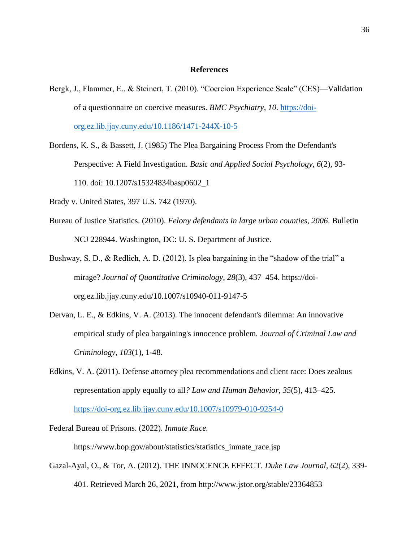#### **References**

- Bergk, J., Flammer, E., & Steinert, T. (2010). "Coercion Experience Scale" (CES)—Validation of a questionnaire on coercive measures. *BMC Psychiatry*, *10*. [https://doi](https://doi-org.ez.lib.jjay.cuny.edu/10.1186/1471-244X-10-5)[org.ez.lib.jjay.cuny.edu/10.1186/1471-244X-10-5](https://doi-org.ez.lib.jjay.cuny.edu/10.1186/1471-244X-10-5)
- Bordens, K. S., & Bassett, J. (1985) The Plea Bargaining Process From the Defendant's Perspective: A Field Investigation. *Basic and Applied Social Psychology*, *6*(2), 93- 110. doi: [10.1207/s15324834basp0602\\_1](https://doi.org/10.1207/s15324834basp0602_1)
- Brady v. United States, 397 U.S. 742 (1970).
- Bureau of Justice Statistics. (2010). *Felony defendants in large urban counties, 2006*. Bulletin NCJ 228944. Washington, DC: U. S. Department of Justice.
- Bushway, S. D., & Redlich, A. D. (2012). Is plea bargaining in the "shadow of the trial" a mirage? *Journal of Quantitative Criminology, 28*(3), 437–454. https://doiorg.ez.lib.jjay.cuny.edu/10.1007/s10940-011-9147-5
- Dervan, L. E., & Edkins, V. A. (2013). The innocent defendant's dilemma: An innovative empirical study of plea bargaining's innocence problem*. Journal of Criminal Law and Criminology, 103*(1), 1-48.
- Edkins, V. A. (2011). Defense attorney plea recommendations and client race: Does zealous representation apply equally to all*? Law and Human Behavior, 35*(5), 413–425. <https://doi-org.ez.lib.jjay.cuny.edu/10.1007/s10979-010-9254-0>
- Federal Bureau of Prisons. (2022). *Inmate Race.*

https://www.bop.gov/about/statistics/statistics\_inmate\_race.jsp

Gazal-Ayal, O., & Tor, A. (2012). THE INNOCENCE EFFECT. *Duke Law Journal, 62*(2), 339- 401. Retrieved March 26, 2021, from http://www.jstor.org/stable/23364853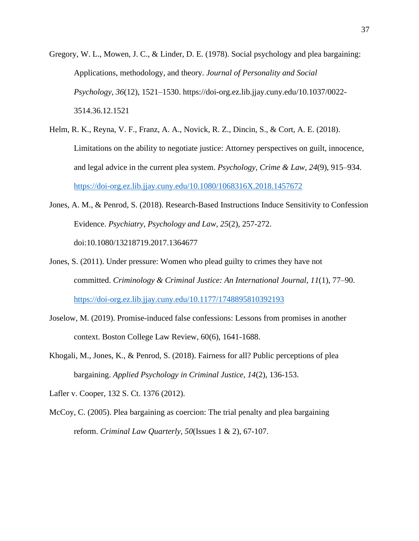Gregory, W. L., Mowen, J. C., & Linder, D. E. (1978). Social psychology and plea bargaining: Applications, methodology, and theory. *Journal of Personality and Social Psychology, 36*(12), 1521–1530. https://doi-org.ez.lib.jjay.cuny.edu/10.1037/0022- 3514.36.12.1521

- Helm, R. K., Reyna, V. F., Franz, A. A., Novick, R. Z., Dincin, S., & Cort, A. E. (2018). Limitations on the ability to negotiate justice: Attorney perspectives on guilt, innocence, and legal advice in the current plea system. *Psychology, Crime & Law, 24*(9), 915–934. <https://doi-org.ez.lib.jjay.cuny.edu/10.1080/1068316X.2018.1457672>
- Jones, A. M., & Penrod, S. (2018). Research-Based Instructions Induce Sensitivity to Confession Evidence. *Psychiatry, Psychology and Law, 25*(2), 257-272. doi:10.1080/13218719.2017.1364677
- Jones, S. (2011). Under pressure: Women who plead guilty to crimes they have not committed. *Criminology & Criminal Justice: An International Journal, 11*(1), 77–90. <https://doi-org.ez.lib.jjay.cuny.edu/10.1177/1748895810392193>
- Joselow, M. (2019). Promise-induced false confessions: Lessons from promises in another context. Boston College Law Review, 60(6), 1641-1688.
- Khogali, M., Jones, K., & Penrod, S. (2018). Fairness for all? Public perceptions of plea bargaining. *Applied Psychology in Criminal Justice, 14*(2), 136-153.

Lafler v. Cooper, 132 S. Ct. 1376 (2012).

McCoy, C. (2005). Plea bargaining as coercion: The trial penalty and plea bargaining reform. *Criminal Law Quarterly*, *50*(Issues 1 & 2), 67-107.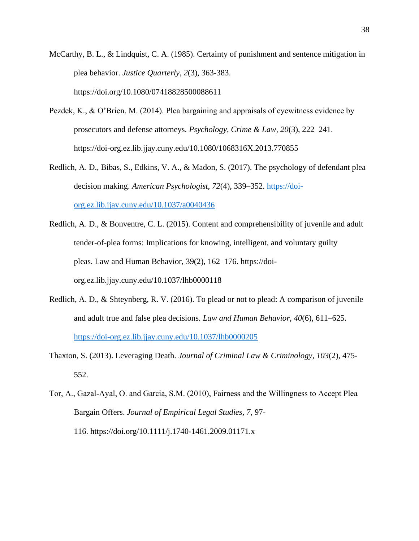McCarthy, B. L., & Lindquist, C. A. (1985). Certainty of punishment and sentence mitigation in plea behavior. *Justice Quarterly, 2*(3), 363-383. <https://doi.org/10.1080/07418828500088611>

- Pezdek, K., & O'Brien, M. (2014). Plea bargaining and appraisals of eyewitness evidence by prosecutors and defense attorneys. *Psychology, Crime & Law, 20*(3), 222–241. https://doi-org.ez.lib.jjay.cuny.edu/10.1080/1068316X.2013.770855
- Redlich, A. D., Bibas, S., Edkins, V. A., & Madon, S. (2017). The psychology of defendant plea decision making. *American Psychologist, 72*(4), 339–352. [https://doi](https://doi-org.ez.lib.jjay.cuny.edu/10.1037/a0040436)[org.ez.lib.jjay.cuny.edu/10.1037/a0040436](https://doi-org.ez.lib.jjay.cuny.edu/10.1037/a0040436)
- Redlich, A. D., & Bonventre, C. L. (2015). Content and comprehensibility of juvenile and adult tender-of-plea forms: Implications for knowing, intelligent, and voluntary guilty pleas. Law and Human Behavior, 39(2), 162–176. https://doiorg.ez.lib.jjay.cuny.edu/10.1037/lhb0000118
- Redlich, A. D., & Shteynberg, R. V. (2016). To plead or not to plead: A comparison of juvenile and adult true and false plea decisions. *Law and Human Behavior, 40*(6), 611–625. <https://doi-org.ez.lib.jjay.cuny.edu/10.1037/lhb0000205>
- Thaxton, S. (2013). Leveraging Death. *Journal of Criminal Law & Criminology, 103*(2), 475- 552.
- Tor, A., Gazal‐Ayal, O. and Garcia, S.M. (2010), Fairness and the Willingness to Accept Plea Bargain Offers. *Journal of Empirical Legal Studies, 7*, 97- 116. <https://doi.org/10.1111/j.1740-1461.2009.01171.x>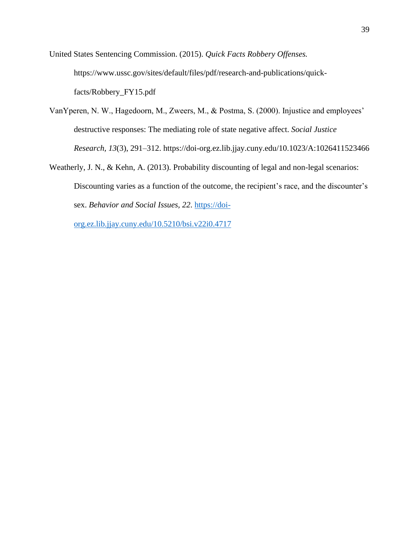United States Sentencing Commission. (2015). *Quick Facts Robbery Offenses.*  https://www.ussc.gov/sites/default/files/pdf/research-and-publications/quickfacts/Robbery\_FY15.pdf

- VanYperen, N. W., Hagedoorn, M., Zweers, M., & Postma, S. (2000). Injustice and employees' destructive responses: The mediating role of state negative affect. *Social Justice Research, 13*(3), 291–312. https://doi-org.ez.lib.jjay.cuny.edu/10.1023/A:1026411523466
- Weatherly, J. N., & Kehn, A. (2013). Probability discounting of legal and non-legal scenarios: Discounting varies as a function of the outcome, the recipient's race, and the discounter's sex. *Behavior and Social Issues, 22*. [https://doi-](https://doi-org.ez.lib.jjay.cuny.edu/10.5210/bsi.v22i0.4717)

[org.ez.lib.jjay.cuny.edu/10.5210/bsi.v22i0.4717](https://doi-org.ez.lib.jjay.cuny.edu/10.5210/bsi.v22i0.4717)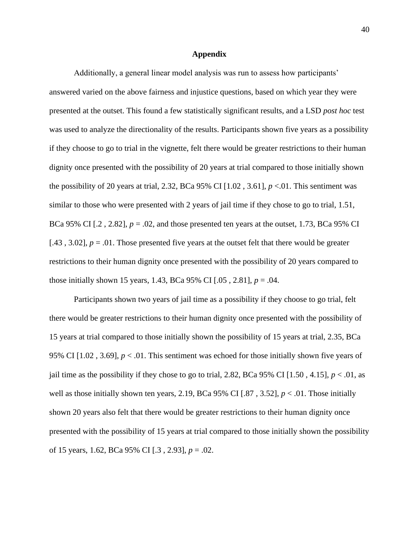#### **Appendix**

Additionally, a general linear model analysis was run to assess how participants' answered varied on the above fairness and injustice questions, based on which year they were presented at the outset. This found a few statistically significant results, and a LSD *post hoc* test was used to analyze the directionality of the results. Participants shown five years as a possibility if they choose to go to trial in the vignette, felt there would be greater restrictions to their human dignity once presented with the possibility of 20 years at trial compared to those initially shown the possibility of 20 years at trial, 2.32, BCa 95% CI  $[1.02, 3.61]$ ,  $p < 01$ . This sentiment was similar to those who were presented with 2 years of jail time if they chose to go to trial, 1.51, BCa 95% CI  $[0.2, 2.82]$ ,  $p = 0.02$ , and those presented ten years at the outset, 1.73, BCa 95% CI [.43, 3.02],  $p = .01$ . Those presented five years at the outset felt that there would be greater restrictions to their human dignity once presented with the possibility of 20 years compared to those initially shown 15 years, 1.43, BCa 95% CI  $[0.05, 2.81]$ ,  $p = 0.04$ .

Participants shown two years of jail time as a possibility if they choose to go trial, felt there would be greater restrictions to their human dignity once presented with the possibility of 15 years at trial compared to those initially shown the possibility of 15 years at trial, 2.35, BCa 95% CI [1.02 , 3.69], *p* < .01. This sentiment was echoed for those initially shown five years of jail time as the possibility if they chose to go to trial, 2.82, BCa 95% CI [1.50, 4.15],  $p < .01$ , as well as those initially shown ten years, 2.19, BCa 95% CI [.87, 3.52],  $p < .01$ . Those initially shown 20 years also felt that there would be greater restrictions to their human dignity once presented with the possibility of 15 years at trial compared to those initially shown the possibility of 15 years, 1.62, BCa 95% CI [.3 , 2.93], *p* = .02.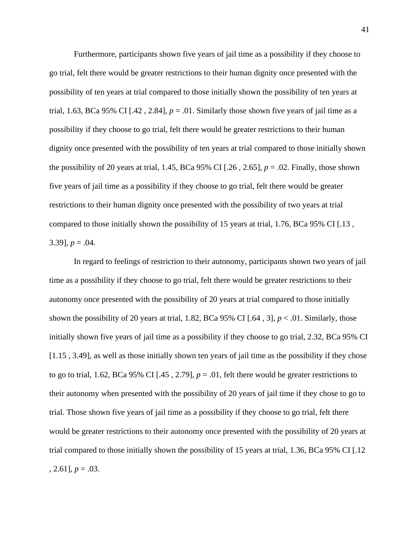Furthermore, participants shown five years of jail time as a possibility if they choose to go trial, felt there would be greater restrictions to their human dignity once presented with the possibility of ten years at trial compared to those initially shown the possibility of ten years at trial, 1.63, BCa 95% CI [.42, 2.84],  $p = 0.01$ . Similarly those shown five years of jail time as a possibility if they choose to go trial, felt there would be greater restrictions to their human dignity once presented with the possibility of ten years at trial compared to those initially shown the possibility of 20 years at trial, 1.45, BCa 95% CI [.26 , 2.65], *p* = .02. Finally, those shown five years of jail time as a possibility if they choose to go trial, felt there would be greater restrictions to their human dignity once presented with the possibility of two years at trial compared to those initially shown the possibility of 15 years at trial, 1.76, BCa 95% CI [.13 , 3.39],  $p = .04$ .

In regard to feelings of restriction to their autonomy, participants shown two years of jail time as a possibility if they choose to go trial, felt there would be greater restrictions to their autonomy once presented with the possibility of 20 years at trial compared to those initially shown the possibility of 20 years at trial, 1.82, BCa 95% CI [.64, 3],  $p < .01$ . Similarly, those initially shown five years of jail time as a possibility if they choose to go trial, 2.32, BCa 95% CI [1.15 , 3.49], as well as those initially shown ten years of jail time as the possibility if they chose to go to trial, 1.62, BCa 95% CI [.45, 2.79],  $p = .01$ , felt there would be greater restrictions to their autonomy when presented with the possibility of 20 years of jail time if they chose to go to trial. Those shown five years of jail time as a possibility if they choose to go trial, felt there would be greater restrictions to their autonomy once presented with the possibility of 20 years at trial compared to those initially shown the possibility of 15 years at trial, 1.36, BCa 95% CI [.12  $, 2.61$ ],  $p = .03$ .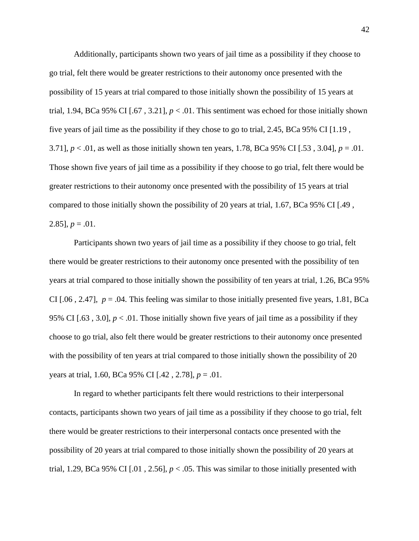Additionally, participants shown two years of jail time as a possibility if they choose to go trial, felt there would be greater restrictions to their autonomy once presented with the possibility of 15 years at trial compared to those initially shown the possibility of 15 years at trial, 1.94, BCa 95% CI [.67, 3.21],  $p < 0.01$ . This sentiment was echoed for those initially shown five years of jail time as the possibility if they chose to go to trial, 2.45, BCa 95% CI [1.19 , 3.71], *p* < .01, as well as those initially shown ten years, 1.78, BCa 95% CI [.53 , 3.04], *p* = .01. Those shown five years of jail time as a possibility if they choose to go trial, felt there would be greater restrictions to their autonomy once presented with the possibility of 15 years at trial compared to those initially shown the possibility of 20 years at trial, 1.67, BCa 95% CI [.49 , 2.85],  $p = .01$ .

Participants shown two years of jail time as a possibility if they choose to go trial, felt there would be greater restrictions to their autonomy once presented with the possibility of ten years at trial compared to those initially shown the possibility of ten years at trial, 1.26, BCa 95% CI  $[0.06, 2.47]$ ,  $p = 0.04$ . This feeling was similar to those initially presented five years, 1.81, BCa 95% CI [.63, 3.0],  $p < 0.01$ . Those initially shown five years of jail time as a possibility if they choose to go trial, also felt there would be greater restrictions to their autonomy once presented with the possibility of ten years at trial compared to those initially shown the possibility of 20 years at trial, 1.60, BCa 95% CI [.42 , 2.78], *p* = .01.

In regard to whether participants felt there would restrictions to their interpersonal contacts, participants shown two years of jail time as a possibility if they choose to go trial, felt there would be greater restrictions to their interpersonal contacts once presented with the possibility of 20 years at trial compared to those initially shown the possibility of 20 years at trial, 1.29, BCa 95% CI  $[0.01, 2.56]$ ,  $p < 0.05$ . This was similar to those initially presented with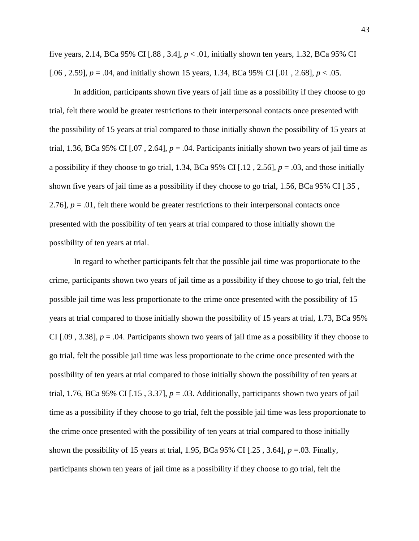five years, 2.14, BCa 95% CI [.88 , 3.4], *p* < .01, initially shown ten years, 1.32, BCa 95% CI [.06 , 2.59], *p* = .04, and initially shown 15 years, 1.34, BCa 95% CI [.01 , 2.68], *p* < .05.

In addition, participants shown five years of jail time as a possibility if they choose to go trial, felt there would be greater restrictions to their interpersonal contacts once presented with the possibility of 15 years at trial compared to those initially shown the possibility of 15 years at trial, 1.36, BCa 95% CI  $[0.07, 2.64]$ ,  $p = 0.04$ . Participants initially shown two years of jail time as a possibility if they choose to go trial, 1.34, BCa 95% CI [.12 , 2.56], *p* = .03, and those initially shown five years of jail time as a possibility if they choose to go trial, 1.56, BCa 95% CI [.35 , 2.76],  $p = 0.01$ , felt there would be greater restrictions to their interpersonal contacts once presented with the possibility of ten years at trial compared to those initially shown the possibility of ten years at trial.

In regard to whether participants felt that the possible jail time was proportionate to the crime, participants shown two years of jail time as a possibility if they choose to go trial, felt the possible jail time was less proportionate to the crime once presented with the possibility of 15 years at trial compared to those initially shown the possibility of 15 years at trial, 1.73, BCa 95% CI  $[.09, 3.38]$ ,  $p = .04$ . Participants shown two years of jail time as a possibility if they choose to go trial, felt the possible jail time was less proportionate to the crime once presented with the possibility of ten years at trial compared to those initially shown the possibility of ten years at trial, 1.76, BCa 95% CI [.15, 3.37],  $p = .03$ . Additionally, participants shown two years of jail time as a possibility if they choose to go trial, felt the possible jail time was less proportionate to the crime once presented with the possibility of ten years at trial compared to those initially shown the possibility of 15 years at trial, 1.95, BCa 95% CI [.25 , 3.64], *p* =.03. Finally, participants shown ten years of jail time as a possibility if they choose to go trial, felt the